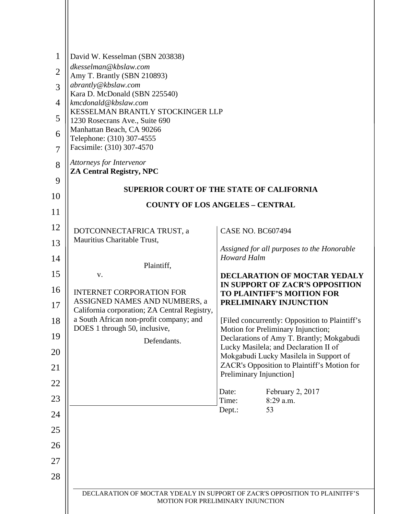| $\mathbf{1}$   | David W. Kesselman (SBN 203838)                                               |                                                                                                                         |  |  |  |
|----------------|-------------------------------------------------------------------------------|-------------------------------------------------------------------------------------------------------------------------|--|--|--|
| $\overline{2}$ | dkesselman@kbslaw.com<br>Amy T. Brantly (SBN 210893)                          |                                                                                                                         |  |  |  |
| 3              | abrantly@kbslaw.com<br>Kara D. McDonald (SBN 225540)                          |                                                                                                                         |  |  |  |
| $\overline{4}$ | kmcdonald@kbslaw.com                                                          |                                                                                                                         |  |  |  |
| 5              | KESSELMAN BRANTLY STOCKINGER LLP<br>1230 Rosecrans Ave., Suite 690            |                                                                                                                         |  |  |  |
| 6              | Manhattan Beach, CA 90266<br>Telephone: (310) 307-4555                        |                                                                                                                         |  |  |  |
| $\overline{7}$ | Facsimile: (310) 307-4570                                                     |                                                                                                                         |  |  |  |
| 8              | Attorneys for Intervenor<br><b>ZA Central Registry, NPC</b>                   |                                                                                                                         |  |  |  |
| 9              | <b>SUPERIOR COURT OF THE STATE OF CALIFORNIA</b>                              |                                                                                                                         |  |  |  |
| 10             |                                                                               |                                                                                                                         |  |  |  |
| 11             | <b>COUNTY OF LOS ANGELES - CENTRAL</b>                                        |                                                                                                                         |  |  |  |
| 12             | DOTCONNECTAFRICA TRUST, a                                                     | <b>CASE NO. BC607494</b>                                                                                                |  |  |  |
| 13             | Mauritius Charitable Trust,                                                   | Assigned for all purposes to the Honorable                                                                              |  |  |  |
| 14             | Plaintiff,                                                                    | <b>Howard Halm</b>                                                                                                      |  |  |  |
| 15             | V.                                                                            | DECLARATION OF MOCTAR YEDALY                                                                                            |  |  |  |
| 16             | <b>INTERNET CORPORATION FOR</b>                                               | IN SUPPORT OF ZACR'S OPPOSITION<br><b>TO PLAINTIFF'S MOITION FOR</b>                                                    |  |  |  |
| 17             | ASSIGNED NAMES AND NUMBERS, a<br>California corporation; ZA Central Registry, | PRELIMINARY INJUNCTION                                                                                                  |  |  |  |
| 18             | a South African non-profit company; and<br>DOES 1 through 50, inclusive,      | [Filed concurrently: Opposition to Plaintiff's<br>Motion for Preliminary Injunction;                                    |  |  |  |
| 19             | Defendants.                                                                   | Declarations of Amy T. Brantly; Mokgabudi                                                                               |  |  |  |
| 20             |                                                                               | Lucky Masilela; and Declaration II of<br>Mokgabudi Lucky Masilela in Support of                                         |  |  |  |
| 21             |                                                                               | ZACR's Opposition to Plaintiff's Motion for<br>Preliminary Injunction]                                                  |  |  |  |
| 22             |                                                                               | February 2, 2017<br>Date:                                                                                               |  |  |  |
| 23             |                                                                               | Time:<br>$8:29$ a.m.                                                                                                    |  |  |  |
| 24             |                                                                               | 53<br>Dept.:                                                                                                            |  |  |  |
| 25             |                                                                               |                                                                                                                         |  |  |  |
| 26             |                                                                               |                                                                                                                         |  |  |  |
| 27             |                                                                               |                                                                                                                         |  |  |  |
| 28             |                                                                               |                                                                                                                         |  |  |  |
|                |                                                                               | DECLARATION OF MOCTAR YDEALY IN SUPPORT OF ZACR'S OPPOSITION TO PLAINITFF'S<br><b>MOTION FOR PRELIMINARY INJUNCTION</b> |  |  |  |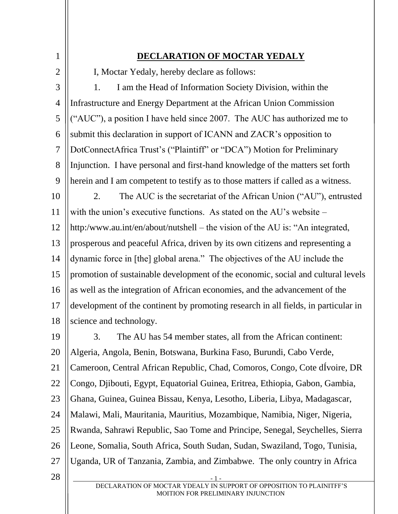1 2 3 4 5 6 7 8 9 10 11 12 13 14 15 16 17 18 **DECLARATION OF MOCTAR YEDALY**  I, Moctar Yedaly, hereby declare as follows: 1. I am the Head of Information Society Division, within the Infrastructure and Energy Department at the African Union Commission ("AUC"), a position I have held since 2007. The AUC has authorized me to submit this declaration in support of ICANN and ZACR's opposition to DotConnectAfrica Trust's ("Plaintiff" or "DCA") Motion for Preliminary Injunction. I have personal and first-hand knowledge of the matters set forth herein and I am competent to testify as to those matters if called as a witness. 2. The AUC is the secretariat of the African Union ("AU"), entrusted with the union's executive functions. As stated on the AU's website – http:/www.au.int/en/about/nutshell – the vision of the AU is: "An integrated, prosperous and peaceful Africa, driven by its own citizens and representing a dynamic force in [the] global arena." The objectives of the AU include the promotion of sustainable development of the economic, social and cultural levels as well as the integration of African economies, and the advancement of the development of the continent by promoting research in all fields, in particular in science and technology.

19 20 21 22 23 24 25 26 27 28 3. The AU has 54 member states, all from the African continent: Algeria, Angola, Benin, Botswana, Burkina Faso, Burundi, Cabo Verde, Cameroon, Central African Republic, Chad, Comoros, Congo, Cote dÍvoire, DR Congo, Djibouti, Egypt, Equatorial Guinea, Eritrea, Ethiopia, Gabon, Gambia, Ghana, Guinea, Guinea Bissau, Kenya, Lesotho, Liberia, Libya, Madagascar, Malawi, Mali, Mauritania, Mauritius, Mozambique, Namibia, Niger, Nigeria, Rwanda, Sahrawi Republic, Sao Tome and Principe, Senegal, Seychelles, Sierra Leone, Somalia, South Africa, South Sudan, Sudan, Swaziland, Togo, Tunisia, Uganda, UR of Tanzania, Zambia, and Zimbabwe. The only country in Africa

- 1 - DECLARATION OF MOCTAR YDEALY IN SUPPORT OF OPPOSITION TO PLAINITFF'S MOITION FOR PRELIMINARY INJUNCTION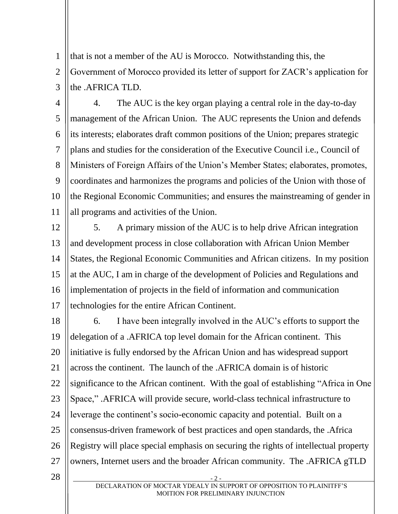1 2 3 that is not a member of the AU is Morocco. Notwithstanding this, the Government of Morocco provided its letter of support for ZACR's application for the .AFRICA TLD.

4 5 6 7 8 9 10 11 4. The AUC is the key organ playing a central role in the day-to-day management of the African Union. The AUC represents the Union and defends its interests; elaborates draft common positions of the Union; prepares strategic plans and studies for the consideration of the Executive Council i.e., Council of Ministers of Foreign Affairs of the Union's Member States; elaborates, promotes, coordinates and harmonizes the programs and policies of the Union with those of the Regional Economic Communities; and ensures the mainstreaming of gender in all programs and activities of the Union.

12 13 14 15 16 17 5. A primary mission of the AUC is to help drive African integration and development process in close collaboration with African Union Member States, the Regional Economic Communities and African citizens. In my position at the AUC, I am in charge of the development of Policies and Regulations and implementation of projects in the field of information and communication technologies for the entire African Continent.

18 19 20 21 22 23 24 25 26 27 28 6. I have been integrally involved in the AUC's efforts to support the delegation of a .AFRICA top level domain for the African continent. This initiative is fully endorsed by the African Union and has widespread support across the continent. The launch of the .AFRICA domain is of historic significance to the African continent. With the goal of establishing "Africa in One Space," .AFRICA will provide secure, world-class technical infrastructure to leverage the continent's socio-economic capacity and potential. Built on a consensus-driven framework of best practices and open standards, the .Africa Registry will place special emphasis on securing the rights of intellectual property owners, Internet users and the broader African community. The .AFRICA gTLD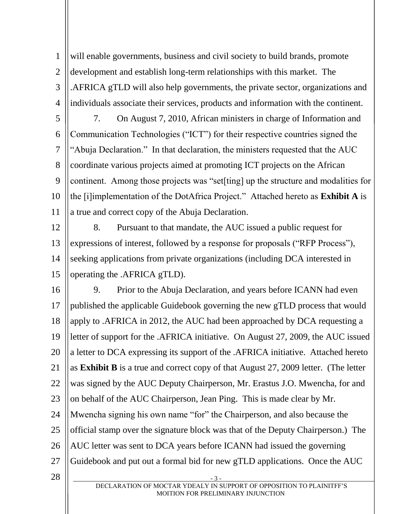1 2 3 4 will enable governments, business and civil society to build brands, promote development and establish long-term relationships with this market. The .AFRICA gTLD will also help governments, the private sector, organizations and individuals associate their services, products and information with the continent.

5 6 7 8 9 10 11 7. On August 7, 2010, African ministers in charge of Information and Communication Technologies ("ICT") for their respective countries signed the "Abuja Declaration." In that declaration, the ministers requested that the AUC coordinate various projects aimed at promoting ICT projects on the African continent. Among those projects was "set[ting] up the structure and modalities for the [i]implementation of the DotAfrica Project." Attached hereto as **Exhibit A** is a true and correct copy of the Abuja Declaration.

12 13 14 15 8. Pursuant to that mandate, the AUC issued a public request for expressions of interest, followed by a response for proposals ("RFP Process"), seeking applications from private organizations (including DCA interested in operating the .AFRICA gTLD).

- 3 - 16 17 18 19 20 21 22 23 24 25 26 27 28 9. Prior to the Abuja Declaration, and years before ICANN had even published the applicable Guidebook governing the new gTLD process that would apply to .AFRICA in 2012, the AUC had been approached by DCA requesting a letter of support for the .AFRICA initiative. On August 27, 2009, the AUC issued a letter to DCA expressing its support of the .AFRICA initiative. Attached hereto as **Exhibit B** is a true and correct copy of that August 27, 2009 letter. (The letter was signed by the AUC Deputy Chairperson, Mr. Erastus J.O. Mwencha, for and on behalf of the AUC Chairperson, Jean Ping. This is made clear by Mr. Mwencha signing his own name "for" the Chairperson, and also because the official stamp over the signature block was that of the Deputy Chairperson.) The AUC letter was sent to DCA years before ICANN had issued the governing Guidebook and put out a formal bid for new gTLD applications. Once the AUC

DECLARATION OF MOCTAR YDEALY IN SUPPORT OF OPPOSITION TO PLAINITFF'S MOITION FOR PRELIMINARY INJUNCTION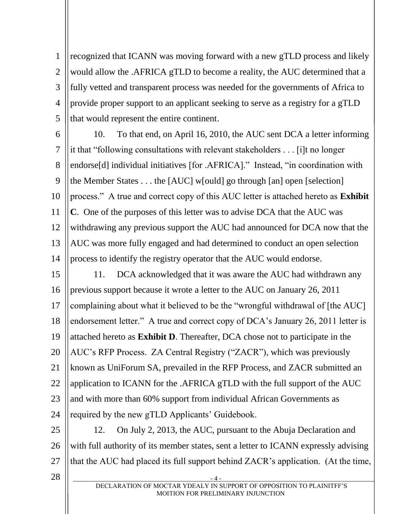1 2 3 4 5 recognized that ICANN was moving forward with a new gTLD process and likely would allow the .AFRICA gTLD to become a reality, the AUC determined that a fully vetted and transparent process was needed for the governments of Africa to provide proper support to an applicant seeking to serve as a registry for a gTLD that would represent the entire continent.

28

6 7 8 9 10 11 12 13 14 10. To that end, on April 16, 2010, the AUC sent DCA a letter informing it that "following consultations with relevant stakeholders . . . [i]t no longer endorse[d] individual initiatives [for .AFRICA]." Instead, "in coordination with the Member States . . . the [AUC] w[ould] go through [an] open [selection] process." A true and correct copy of this AUC letter is attached hereto as **Exhibit C**. One of the purposes of this letter was to advise DCA that the AUC was withdrawing any previous support the AUC had announced for DCA now that the AUC was more fully engaged and had determined to conduct an open selection process to identify the registry operator that the AUC would endorse.

15 16 17 18 19 20 21 22 23 24 11. DCA acknowledged that it was aware the AUC had withdrawn any previous support because it wrote a letter to the AUC on January 26, 2011 complaining about what it believed to be the "wrongful withdrawal of [the AUC] endorsement letter." A true and correct copy of DCA's January 26, 2011 letter is attached hereto as **Exhibit D**. Thereafter, DCA chose not to participate in the AUC's RFP Process. ZA Central Registry ("ZACR"), which was previously known as UniForum SA, prevailed in the RFP Process, and ZACR submitted an application to ICANN for the .AFRICA gTLD with the full support of the AUC and with more than 60% support from individual African Governments as required by the new gTLD Applicants' Guidebook.

25 26 27 12. On July 2, 2013, the AUC, pursuant to the Abuja Declaration and with full authority of its member states, sent a letter to ICANN expressly advising that the AUC had placed its full support behind ZACR's application. (At the time,

> - 4 - DECLARATION OF MOCTAR YDEALY IN SUPPORT OF OPPOSITION TO PLAINITFF'S MOITION FOR PRELIMINARY INJUNCTION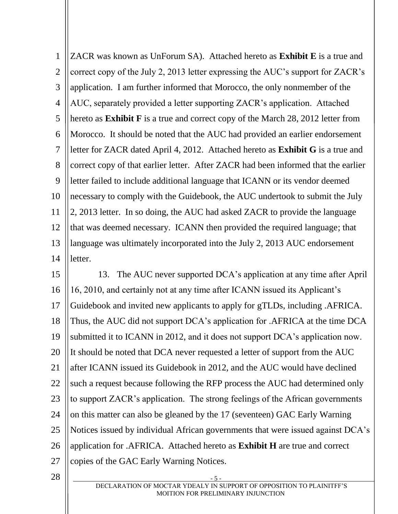1 2 3 4 5 6 7 8 9 10 11 12 13 14 ZACR was known as UnForum SA). Attached hereto as **Exhibit E** is a true and correct copy of the July 2, 2013 letter expressing the AUC's support for ZACR's application. I am further informed that Morocco, the only nonmember of the AUC, separately provided a letter supporting ZACR's application. Attached hereto as **Exhibit F** is a true and correct copy of the March 28, 2012 letter from Morocco. It should be noted that the AUC had provided an earlier endorsement letter for ZACR dated April 4, 2012. Attached hereto as **Exhibit G** is a true and correct copy of that earlier letter. After ZACR had been informed that the earlier letter failed to include additional language that ICANN or its vendor deemed necessary to comply with the Guidebook, the AUC undertook to submit the July 2, 2013 letter. In so doing, the AUC had asked ZACR to provide the language that was deemed necessary. ICANN then provided the required language; that language was ultimately incorporated into the July 2, 2013 AUC endorsement letter.

15 16 17 18 19 20 21 22 23 24 25 26 27 13. The AUC never supported DCA's application at any time after April 16, 2010, and certainly not at any time after ICANN issued its Applicant's Guidebook and invited new applicants to apply for gTLDs, including .AFRICA. Thus, the AUC did not support DCA's application for .AFRICA at the time DCA submitted it to ICANN in 2012, and it does not support DCA's application now. It should be noted that DCA never requested a letter of support from the AUC after ICANN issued its Guidebook in 2012, and the AUC would have declined such a request because following the RFP process the AUC had determined only to support ZACR's application. The strong feelings of the African governments on this matter can also be gleaned by the 17 (seventeen) GAC Early Warning Notices issued by individual African governments that were issued against DCA's application for .AFRICA. Attached hereto as **Exhibit H** are true and correct copies of the GAC Early Warning Notices.

28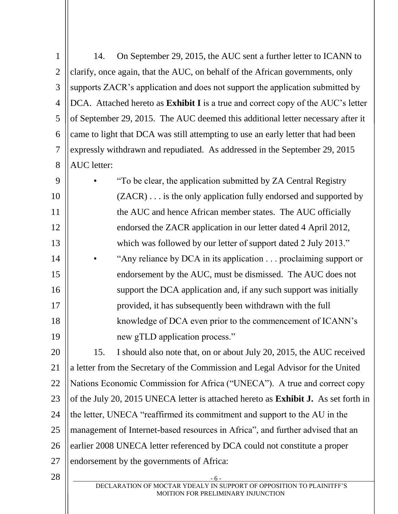| $\mathbf{1}$   | 14.                                                                                                        | On September 29, 2015, the AUC sent a further letter to ICANN to                        |  |  |
|----------------|------------------------------------------------------------------------------------------------------------|-----------------------------------------------------------------------------------------|--|--|
| $\overline{2}$ | clarify, once again, that the AUC, on behalf of the African governments, only                              |                                                                                         |  |  |
| 3              | supports ZACR's application and does not support the application submitted by                              |                                                                                         |  |  |
| $\overline{4}$ |                                                                                                            | DCA. Attached hereto as <b>Exhibit I</b> is a true and correct copy of the AUC's letter |  |  |
| 5              | of September 29, 2015. The AUC deemed this additional letter necessary after it                            |                                                                                         |  |  |
| 6              | came to light that DCA was still attempting to use an early letter that had been                           |                                                                                         |  |  |
| $\tau$         | expressly withdrawn and repudiated. As addressed in the September 29, 2015                                 |                                                                                         |  |  |
| 8              | AUC letter:                                                                                                |                                                                                         |  |  |
| 9              |                                                                                                            | "To be clear, the application submitted by ZA Central Registry                          |  |  |
| 10             |                                                                                                            | $(ZACR) \ldots$ is the only application fully endorsed and supported by                 |  |  |
| 11             | the AUC and hence African member states. The AUC officially                                                |                                                                                         |  |  |
| 12             | endorsed the ZACR application in our letter dated 4 April 2012,                                            |                                                                                         |  |  |
| 13             | which was followed by our letter of support dated 2 July 2013."                                            |                                                                                         |  |  |
| 14             |                                                                                                            | "Any reliance by DCA in its application proclaiming support or                          |  |  |
| 15             |                                                                                                            | endorsement by the AUC, must be dismissed. The AUC does not                             |  |  |
| 16             |                                                                                                            | support the DCA application and, if any such support was initially                      |  |  |
| 17             | provided, it has subsequently been withdrawn with the full                                                 |                                                                                         |  |  |
| 18             | knowledge of DCA even prior to the commencement of ICANN's                                                 |                                                                                         |  |  |
| 19             |                                                                                                            | new gTLD application process."                                                          |  |  |
| 20             | 15.                                                                                                        | I should also note that, on or about July 20, 2015, the AUC received                    |  |  |
| 21             | a letter from the Secretary of the Commission and Legal Advisor for the United                             |                                                                                         |  |  |
| 22             | Nations Economic Commission for Africa ("UNECA"). A true and correct copy                                  |                                                                                         |  |  |
| 23             | of the July 20, 2015 UNECA letter is attached hereto as <b>Exhibit J.</b> As set forth in                  |                                                                                         |  |  |
| 24             | the letter, UNECA "reaffirmed its commitment and support to the AU in the                                  |                                                                                         |  |  |
| 25             | management of Internet-based resources in Africa", and further advised that an                             |                                                                                         |  |  |
| 26             | earlier 2008 UNECA letter referenced by DCA could not constitute a proper                                  |                                                                                         |  |  |
| 27             | endorsement by the governments of Africa:                                                                  |                                                                                         |  |  |
| 28             | $-6-$                                                                                                      |                                                                                         |  |  |
|                | DECLARATION OF MOCTAR YDEALY IN SUPPORT OF OPPOSITION TO PLAINITFF'S<br>MOITION FOR PRELIMINARY INJUNCTION |                                                                                         |  |  |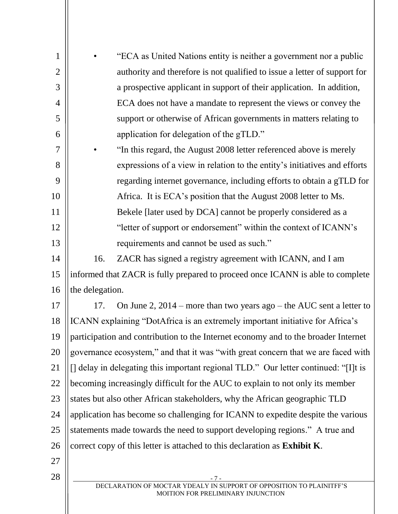| $\mathbf{1}$   |                                                                                     | "ECA as United Nations entity is neither a government nor a public                                         |
|----------------|-------------------------------------------------------------------------------------|------------------------------------------------------------------------------------------------------------|
| $\overline{2}$ |                                                                                     | authority and therefore is not qualified to issue a letter of support for                                  |
| 3              |                                                                                     | a prospective applicant in support of their application. In addition,                                      |
| $\overline{4}$ |                                                                                     | ECA does not have a mandate to represent the views or convey the                                           |
| 5              | support or otherwise of African governments in matters relating to                  |                                                                                                            |
| 6              | application for delegation of the gTLD."                                            |                                                                                                            |
| $\overline{7}$ |                                                                                     | "In this regard, the August 2008 letter referenced above is merely                                         |
| 8              |                                                                                     | expressions of a view in relation to the entity's initiatives and efforts                                  |
| 9              |                                                                                     | regarding internet governance, including efforts to obtain a gTLD for                                      |
| 10             |                                                                                     | Africa. It is ECA's position that the August 2008 letter to Ms.                                            |
| 11             |                                                                                     | Bekele [later used by DCA] cannot be properly considered as a                                              |
| 12             |                                                                                     | "letter of support or endorsement" within the context of ICANN's                                           |
| 13             |                                                                                     | requirements and cannot be used as such."                                                                  |
| 14             | 16.                                                                                 | ZACR has signed a registry agreement with ICANN, and I am                                                  |
| 15             | informed that ZACR is fully prepared to proceed once ICANN is able to complete      |                                                                                                            |
| 16             | the delegation.                                                                     |                                                                                                            |
| 17             | 17.                                                                                 | On June 2, $2014$ – more than two years ago – the AUC sent a letter to                                     |
| 18             | ICANN explaining "DotAfrica is an extremely important initiative for Africa's       |                                                                                                            |
| 19             | participation and contribution to the Internet economy and to the broader Internet  |                                                                                                            |
| 20             | governance ecosystem," and that it was "with great concern that we are faced with   |                                                                                                            |
| 21             | [] delay in delegating this important regional TLD." Our letter continued: "[I]t is |                                                                                                            |
| 22             | becoming increasingly difficult for the AUC to explain to not only its member       |                                                                                                            |
| 23             | states but also other African stakeholders, why the African geographic TLD          |                                                                                                            |
| 24             | application has become so challenging for ICANN to expedite despite the various     |                                                                                                            |
| 25             | statements made towards the need to support developing regions." A true and         |                                                                                                            |
| 26             | correct copy of this letter is attached to this declaration as Exhibit K.           |                                                                                                            |
| 27             |                                                                                     |                                                                                                            |
| 28             |                                                                                     |                                                                                                            |
|                |                                                                                     | DECLARATION OF MOCTAR YDEALY IN SUPPORT OF OPPOSITION TO PLAINITFF'S<br>MOITION FOR PRELIMINARY INJUNCTION |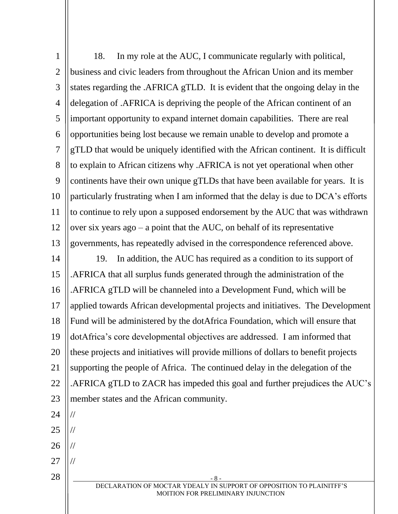- 8 - DECLARATION OF MOCTAR YDEALY IN SUPPORT OF OPPOSITION TO PLAINITFF'S MOITION FOR PRELIMINARY INJUNCTION 1 2 3 4 5 6 7 8 9 10 11 12 13 14 15 16 17 18 19 20 21 22 23 24 25 26 27 28 18. In my role at the AUC, I communicate regularly with political, business and civic leaders from throughout the African Union and its member states regarding the .AFRICA gTLD. It is evident that the ongoing delay in the delegation of .AFRICA is depriving the people of the African continent of an important opportunity to expand internet domain capabilities. There are real opportunities being lost because we remain unable to develop and promote a gTLD that would be uniquely identified with the African continent. It is difficult to explain to African citizens why .AFRICA is not yet operational when other continents have their own unique gTLDs that have been available for years. It is particularly frustrating when I am informed that the delay is due to DCA's efforts to continue to rely upon a supposed endorsement by the AUC that was withdrawn over six years ago – a point that the AUC, on behalf of its representative governments, has repeatedly advised in the correspondence referenced above. 19. In addition, the AUC has required as a condition to its support of .AFRICA that all surplus funds generated through the administration of the .AFRICA gTLD will be channeled into a Development Fund, which will be applied towards African developmental projects and initiatives. The Development Fund will be administered by the dotAfrica Foundation, which will ensure that dotAfrica's core developmental objectives are addressed. I am informed that these projects and initiatives will provide millions of dollars to benefit projects supporting the people of Africa. The continued delay in the delegation of the .AFRICA gTLD to ZACR has impeded this goal and further prejudices the AUC's member states and the African community. // // // //